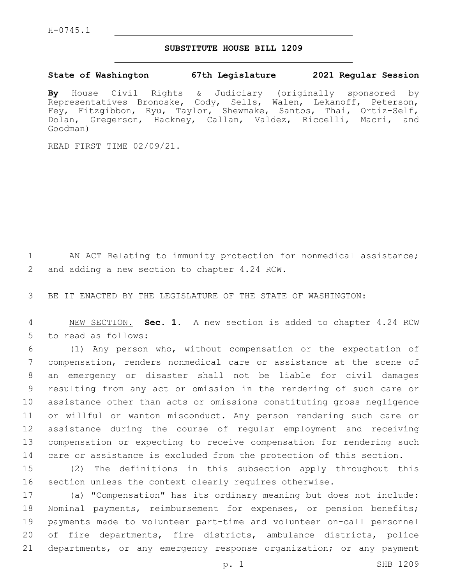## **SUBSTITUTE HOUSE BILL 1209**

## **State of Washington 67th Legislature 2021 Regular Session**

**By** House Civil Rights & Judiciary (originally sponsored by Representatives Bronoske, Cody, Sells, Walen, Lekanoff, Peterson, Fey, Fitzgibbon, Ryu, Taylor, Shewmake, Santos, Thai, Ortiz-Self, Dolan, Gregerson, Hackney, Callan, Valdez, Riccelli, Macri, and Goodman)

READ FIRST TIME 02/09/21.

1 AN ACT Relating to immunity protection for nonmedical assistance; 2 and adding a new section to chapter 4.24 RCW.

3 BE IT ENACTED BY THE LEGISLATURE OF THE STATE OF WASHINGTON:

4 NEW SECTION. **Sec. 1.** A new section is added to chapter 4.24 RCW 5 to read as follows:

 (1) Any person who, without compensation or the expectation of compensation, renders nonmedical care or assistance at the scene of an emergency or disaster shall not be liable for civil damages resulting from any act or omission in the rendering of such care or assistance other than acts or omissions constituting gross negligence or willful or wanton misconduct. Any person rendering such care or assistance during the course of regular employment and receiving compensation or expecting to receive compensation for rendering such care or assistance is excluded from the protection of this section.

15 (2) The definitions in this subsection apply throughout this 16 section unless the context clearly requires otherwise.

 (a) "Compensation" has its ordinary meaning but does not include: Nominal payments, reimbursement for expenses, or pension benefits; payments made to volunteer part-time and volunteer on-call personnel of fire departments, fire districts, ambulance districts, police departments, or any emergency response organization; or any payment

p. 1 SHB 1209